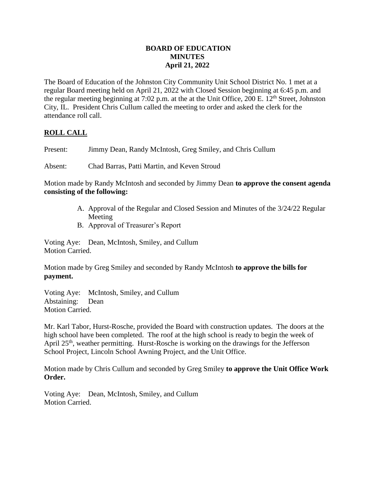# **BOARD OF EDUCATION MINUTES April 21, 2022**

The Board of Education of the Johnston City Community Unit School District No. 1 met at a regular Board meeting held on April 21, 2022 with Closed Session beginning at 6:45 p.m. and the regular meeting beginning at 7:02 p.m. at the at the Unit Office, 200 E.  $12<sup>th</sup>$  Street, Johnston City, IL. President Chris Cullum called the meeting to order and asked the clerk for the attendance roll call.

# **ROLL CALL**

Present: Jimmy Dean, Randy McIntosh, Greg Smiley, and Chris Cullum

Absent: Chad Barras, Patti Martin, and Keven Stroud

Motion made by Randy McIntosh and seconded by Jimmy Dean **to approve the consent agenda consisting of the following:**

- A. Approval of the Regular and Closed Session and Minutes of the 3/24/22 Regular Meeting
- B. Approval of Treasurer's Report

Voting Aye: Dean, McIntosh, Smiley, and Cullum Motion Carried.

Motion made by Greg Smiley and seconded by Randy McIntosh **to approve the bills for payment.**

Voting Aye: McIntosh, Smiley, and Cullum Abstaining: Dean Motion Carried.

Mr. Karl Tabor, Hurst-Rosche, provided the Board with construction updates. The doors at the high school have been completed. The roof at the high school is ready to begin the week of April 25<sup>th</sup>, weather permitting. Hurst-Rosche is working on the drawings for the Jefferson School Project, Lincoln School Awning Project, and the Unit Office.

Motion made by Chris Cullum and seconded by Greg Smiley **to approve the Unit Office Work Order.**

Voting Aye: Dean, McIntosh, Smiley, and Cullum Motion Carried.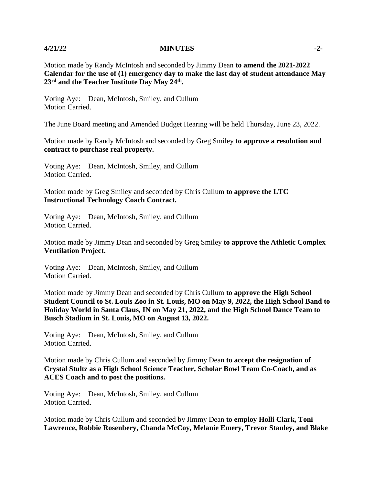## **4/21/22 MINUTES -2-**

Motion made by Randy McIntosh and seconded by Jimmy Dean **to amend the 2021-2022 Calendar for the use of (1) emergency day to make the last day of student attendance May 23rd and the Teacher Institute Day May 24th .**

Voting Aye: Dean, McIntosh, Smiley, and Cullum Motion Carried.

The June Board meeting and Amended Budget Hearing will be held Thursday, June 23, 2022.

Motion made by Randy McIntosh and seconded by Greg Smiley **to approve a resolution and contract to purchase real property.**

Voting Aye: Dean, McIntosh, Smiley, and Cullum Motion Carried.

Motion made by Greg Smiley and seconded by Chris Cullum **to approve the LTC Instructional Technology Coach Contract.**

Voting Aye: Dean, McIntosh, Smiley, and Cullum Motion Carried.

Motion made by Jimmy Dean and seconded by Greg Smiley **to approve the Athletic Complex Ventilation Project.**

Voting Aye: Dean, McIntosh, Smiley, and Cullum Motion Carried.

Motion made by Jimmy Dean and seconded by Chris Cullum **to approve the High School Student Council to St. Louis Zoo in St. Louis, MO on May 9, 2022, the High School Band to Holiday World in Santa Claus, IN on May 21, 2022, and the High School Dance Team to Busch Stadium in St. Louis, MO on August 13, 2022.** 

Voting Aye: Dean, McIntosh, Smiley, and Cullum Motion Carried.

Motion made by Chris Cullum and seconded by Jimmy Dean **to accept the resignation of Crystal Stultz as a High School Science Teacher, Scholar Bowl Team Co-Coach, and as ACES Coach and to post the positions.**

Voting Aye: Dean, McIntosh, Smiley, and Cullum Motion Carried.

Motion made by Chris Cullum and seconded by Jimmy Dean **to employ Holli Clark, Toni Lawrence, Robbie Rosenbery, Chanda McCoy, Melanie Emery, Trevor Stanley, and Blake**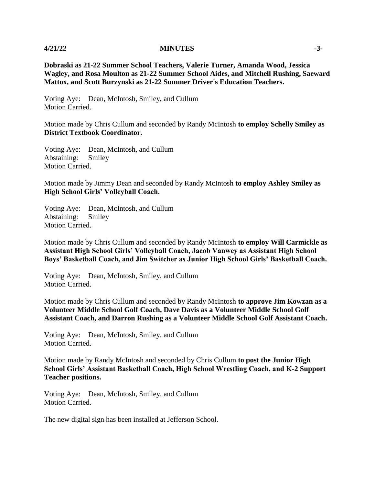## **4/21/22 MINUTES -3-**

**Dobraski as 21-22 Summer School Teachers, Valerie Turner, Amanda Wood, Jessica Wagley, and Rosa Moulton as 21-22 Summer School Aides, and Mitchell Rushing, Saeward Mattox, and Scott Burzynski as 21-22 Summer Driver's Education Teachers.**

Voting Aye: Dean, McIntosh, Smiley, and Cullum Motion Carried.

Motion made by Chris Cullum and seconded by Randy McIntosh **to employ Schelly Smiley as District Textbook Coordinator.**

Voting Aye: Dean, McIntosh, and Cullum Abstaining: Smiley Motion Carried.

Motion made by Jimmy Dean and seconded by Randy McIntosh **to employ Ashley Smiley as High School Girls' Volleyball Coach.**

Voting Aye: Dean, McIntosh, and Cullum Abstaining: Smiley Motion Carried.

Motion made by Chris Cullum and seconded by Randy McIntosh **to employ Will Carmickle as Assistant High School Girls' Volleyball Coach, Jacob Vanwey as Assistant High School Boys' Basketball Coach, and Jim Switcher as Junior High School Girls' Basketball Coach.**

Voting Aye: Dean, McIntosh, Smiley, and Cullum Motion Carried.

Motion made by Chris Cullum and seconded by Randy McIntosh **to approve Jim Kowzan as a Volunteer Middle School Golf Coach, Dave Davis as a Volunteer Middle School Golf Assistant Coach, and Darron Rushing as a Volunteer Middle School Golf Assistant Coach.**

Voting Aye: Dean, McIntosh, Smiley, and Cullum Motion Carried.

Motion made by Randy McIntosh and seconded by Chris Cullum **to post the Junior High School Girls' Assistant Basketball Coach, High School Wrestling Coach, and K-2 Support Teacher positions.**

Voting Aye: Dean, McIntosh, Smiley, and Cullum Motion Carried.

The new digital sign has been installed at Jefferson School.